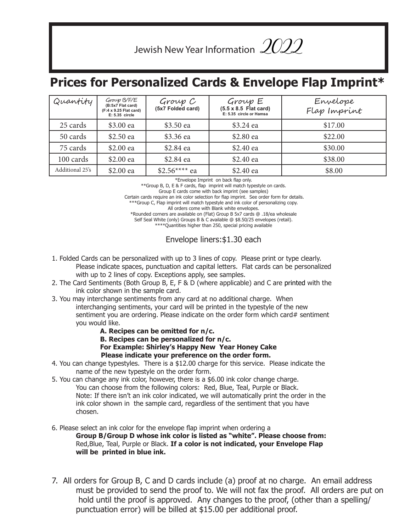Jewish New Year Information  $\mathscr{L}\hspace{-0.08cm}\mathscr{Q}\mathscr{D}$ 

## **Prices for Personalized Cards & Envelope Flap Imprint\***

| Quantity        | Group B/F/E<br>(B:5x7 Flat card)<br>(F:4 x 9.25 Flat card)<br>E: 5.35 circle | Group C<br>(5x7 Folded card) | Group E<br>$(5.5 \times 8.5)$ Flat card)<br>E: 5.35 circle or Hamsa | Envelope<br>Flap Imprint |
|-----------------|------------------------------------------------------------------------------|------------------------------|---------------------------------------------------------------------|--------------------------|
| 25 cards        | \$3.00 ea                                                                    | \$3.50 ea                    | \$3.24 ea                                                           | \$17.00                  |
| 50 cards        | \$2.50 ea                                                                    | \$3.36 ea                    | \$2.80 ea                                                           | \$22.00                  |
| 75 cards        | \$2.00 ea                                                                    | \$2.84 ea                    | \$2.40 ea                                                           | \$30.00                  |
| 100 cards       | \$2.00 ea                                                                    | \$2.84 ea                    | \$2.40 ea                                                           | \$38.00                  |
| Additional 25's | \$2.00 ea                                                                    | $$2.56***$ ea                | \$2.40 ea                                                           | \$8.00                   |

\*Envelope Imprint on back flap only.

\*\*Group B, D, E & F cards, flap imprint will match typestyle on cards.

Group E cards come with back imprint (see samples)

 Certain cards require an ink color selection for flap imprint. See order form for details. \*\*Group C, Flap imprint will match typestyle and ink color of personalizing copy.

All orders come with Blank white envelopes.

\*Rounded corners are available on (Flat) Group B 5x7 cards @ .18/ea wholesale

Self Seal White (only) Groups B & C available @ \$8.50/25 envelopes (retail).

\*\*\*\*Quantities higher than 250, special pricing available

Envelope liners:\$1.30 each

- 1. Folded Cards can be personalized with up to 3 lines of copy. Please print or type clearly. Please indicate spaces, punctuation and capital letters. Flat cards can be personalized with up to 2 lines of copy. Exceptions apply, see samples.
- 2. The Card Sentiments (Both Group B, E, F & D (where applicable) and C are printed with the ink color shown in the sample card.
- 3. You may interchange sentiments from any card at no additional charge. When interchanging sentiments, your card will be printed in the typestyle of the new sentiment you are ordering. Please indicate on the order form which card# sentiment you would like.
	- **A. Recipes can be omitted for n/c.**
	- **B. Recipes can be personalized for n/c.**
	- **For Example: Shirley's Happy New Year Honey Cake Please indicate your preference on the order form.**
- 4. You can change typestyles. There is a \$12.00 charge for this service. Please indicate the name of the new typestyle on the order form.
- 5. You can change any ink color, however, there is a \$6.00 ink color change charge.

You can choose from the following colors: Red, Blue, Teal, Purple or Black. Note: If there isn't an ink color indicated, we will automatically print the order in the ink color shown in the sample card, regardless of the sentiment that you have chosen.

6. Please select an ink color for the envelope flap imprint when ordering a

**Group B/Group D whose ink color is listed as "white". Please choose from:**  Red,Blue, Teal, Purple or Black. **If a color is not indicated, your Envelope Flap will be printed in blue ink.**

7. All orders for Group B, C and D cards include (a) proof at no charge. An email address must be provided to send the proof to. We will not fax the proof. All orders are put on hold until the proof is approved. Any changes to the proof, (other than a spelling/ punctuation error) will be billed at \$15.00 per additional proof.